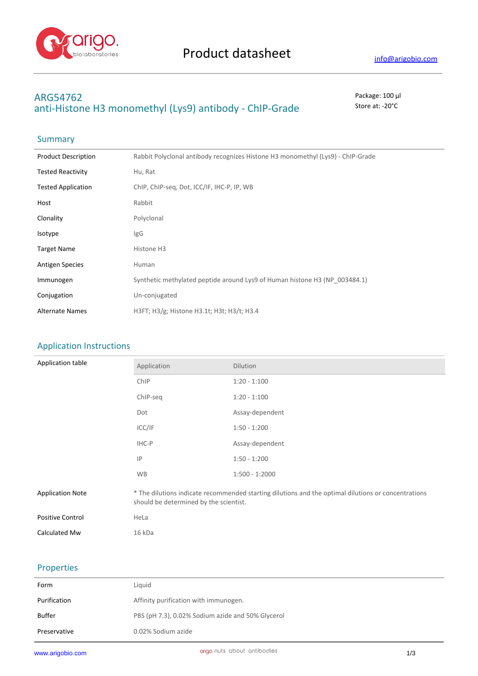

# **ARG54762** Package: 100 μl anti-Histone H3 monomethyl (Lys9) antibody - ChIP-Grade Store at: -20°C

# Summary

| <b>Product Description</b> | Rabbit Polyclonal antibody recognizes Histone H3 monomethyl (Lys9) - ChIP-Grade |
|----------------------------|---------------------------------------------------------------------------------|
| <b>Tested Reactivity</b>   | Hu, Rat                                                                         |
| <b>Tested Application</b>  | ChIP, ChIP-seq, Dot, ICC/IF, IHC-P, IP, WB                                      |
| Host                       | Rabbit                                                                          |
| Clonality                  | Polyclonal                                                                      |
| Isotype                    | IgG                                                                             |
| <b>Target Name</b>         | Histone H3                                                                      |
| <b>Antigen Species</b>     | Human                                                                           |
| Immunogen                  | Synthetic methylated peptide around Lys9 of Human histone H3 (NP 003484.1)      |
| Conjugation                | Un-conjugated                                                                   |
| <b>Alternate Names</b>     | H3FT; H3/g; Histone H3.1t; H3t; H3/t; H3.4                                      |

### Application Instructions

| Application table       | Application                                                                                                                                   | Dilution         |
|-------------------------|-----------------------------------------------------------------------------------------------------------------------------------------------|------------------|
|                         | ChIP                                                                                                                                          | $1:20 - 1:100$   |
|                         | ChIP-seq                                                                                                                                      | $1:20 - 1:100$   |
|                         | Dot                                                                                                                                           | Assay-dependent  |
|                         | ICC/IF                                                                                                                                        | $1:50 - 1:200$   |
|                         | IHC-P                                                                                                                                         | Assay-dependent  |
|                         | IP                                                                                                                                            | $1:50 - 1:200$   |
|                         | <b>WB</b>                                                                                                                                     | $1:500 - 1:2000$ |
| <b>Application Note</b> | * The dilutions indicate recommended starting dilutions and the optimal dilutions or concentrations<br>should be determined by the scientist. |                  |
| Positive Control        | HeLa                                                                                                                                          |                  |
| Calculated Mw           | 16 kDa                                                                                                                                        |                  |

### Properties

| Form         | Liguid                                            |
|--------------|---------------------------------------------------|
| Purification | Affinity purification with immunogen.             |
| Buffer       | PBS (pH 7.3), 0.02% Sodium azide and 50% Glycerol |
| Preservative | 0.02% Sodium azide                                |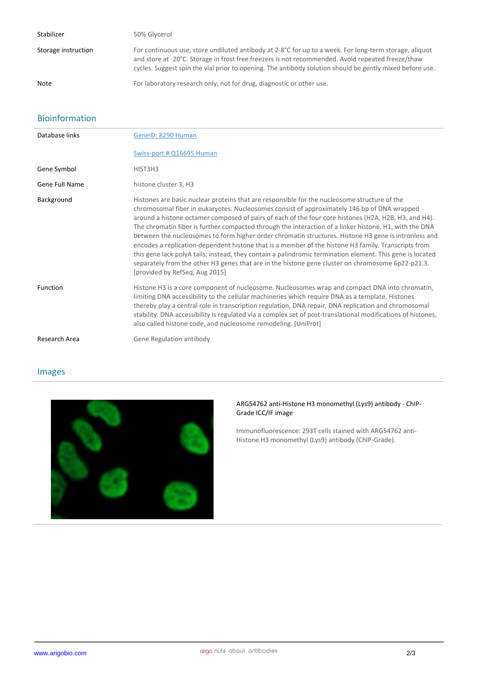| Stabilizer          | 50% Glycerol                                                                                                                                                                                                                                                                                                            |
|---------------------|-------------------------------------------------------------------------------------------------------------------------------------------------------------------------------------------------------------------------------------------------------------------------------------------------------------------------|
| Storage instruction | For continuous use, store undiluted antibody at 2-8°C for up to a week. For long-term storage, aliquot<br>and store at -20°C. Storage in frost free freezers is not recommended. Avoid repeated freeze/thaw<br>cycles. Suggest spin the vial prior to opening. The antibody solution should be gently mixed before use. |
| <b>Note</b>         | For laboratory research only, not for drug, diagnostic or other use.                                                                                                                                                                                                                                                    |

## Bioinformation

| Database links        | GenelD: 8290 Human                                                                                                                                                                                                                                                                                                                                                                                                                                                                                                                                                                                                                                                                                                                                                                                                                                                               |
|-----------------------|----------------------------------------------------------------------------------------------------------------------------------------------------------------------------------------------------------------------------------------------------------------------------------------------------------------------------------------------------------------------------------------------------------------------------------------------------------------------------------------------------------------------------------------------------------------------------------------------------------------------------------------------------------------------------------------------------------------------------------------------------------------------------------------------------------------------------------------------------------------------------------|
|                       | Swiss-port # Q16695 Human                                                                                                                                                                                                                                                                                                                                                                                                                                                                                                                                                                                                                                                                                                                                                                                                                                                        |
| Gene Symbol           | HIST3H3                                                                                                                                                                                                                                                                                                                                                                                                                                                                                                                                                                                                                                                                                                                                                                                                                                                                          |
| <b>Gene Full Name</b> | histone cluster 3, H3                                                                                                                                                                                                                                                                                                                                                                                                                                                                                                                                                                                                                                                                                                                                                                                                                                                            |
| Background            | Histones are basic nuclear proteins that are responsible for the nucleosome structure of the<br>chromosomal fiber in eukaryotes. Nucleosomes consist of approximately 146 bp of DNA wrapped<br>around a histone octamer composed of pairs of each of the four core histones (H2A, H2B, H3, and H4).<br>The chromatin fiber is further compacted through the interaction of a linker histone, H1, with the DNA<br>between the nucleosomes to form higher order chromatin structures. Histone H3 gene is intronless and<br>encodes a replication-dependent histone that is a member of the histone H3 family. Transcripts from<br>this gene lack polyA tails; instead, they contain a palindromic termination element. This gene is located<br>separately from the other H3 genes that are in the histone gene cluster on chromosome 6p22-p21.3.<br>[provided by RefSeq, Aug 2015] |
| Function              | Histone H3 is a core component of nucleosome. Nucleosomes wrap and compact DNA into chromatin,<br>limiting DNA accessibility to the cellular machineries which require DNA as a template. Histones<br>thereby play a central role in transcription regulation, DNA repair, DNA replication and chromosomal<br>stability. DNA accessibility is regulated via a complex set of post-translational modifications of histones,<br>also called histone code, and nucleosome remodeling. [UniProt]                                                                                                                                                                                                                                                                                                                                                                                     |
| Research Area         | Gene Regulation antibody                                                                                                                                                                                                                                                                                                                                                                                                                                                                                                                                                                                                                                                                                                                                                                                                                                                         |

## Images



### **ARG54762 anti-Histone H3 monomethyl (Lys9) antibody - ChIP-Grade ICC/IF image**

Immunofluorescence: 293T cells stained with ARG54762 anti-Histone H3 monomethyl (Lys9) antibody (ChIP-Grade).